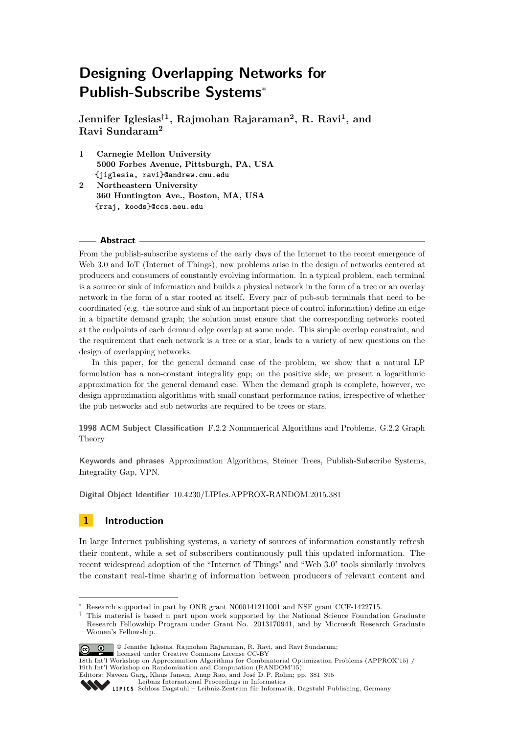**Jennifer Iglesias**†**<sup>1</sup> , Rajmohan Rajaraman<sup>2</sup> , R. Ravi<sup>1</sup> , and Ravi Sundaram<sup>2</sup>**

- **1 Carnegie Mellon University 5000 Forbes Avenue, Pittsburgh, PA, USA {jiglesia, ravi}@andrew.cmu.edu**
- **2 Northeastern University 360 Huntington Ave., Boston, MA, USA {rraj, koods}@ccs.neu.edu**

### **Abstract**

From the publish-subscribe systems of the early days of the Internet to the recent emergence of Web 3.0 and IoT (Internet of Things), new problems arise in the design of networks centered at producers and consumers of constantly evolving information. In a typical problem, each terminal is a source or sink of information and builds a physical network in the form of a tree or an overlay network in the form of a star rooted at itself. Every pair of pub-sub terminals that need to be coordinated (e.g. the source and sink of an important piece of control information) define an edge in a bipartite demand graph; the solution must ensure that the corresponding networks rooted at the endpoints of each demand edge overlap at some node. This simple overlap constraint, and the requirement that each network is a tree or a star, leads to a variety of new questions on the design of overlapping networks.

In this paper, for the general demand case of the problem, we show that a natural LP formulation has a non-constant integrality gap; on the positive side, we present a logarithmic approximation for the general demand case. When the demand graph is complete, however, we design approximation algorithms with small constant performance ratios, irrespective of whether the pub networks and sub networks are required to be trees or stars.

**1998 ACM Subject Classification** F.2.2 Nonnumerical Algorithms and Problems, G.2.2 Graph Theory

**Keywords and phrases** Approximation Algorithms, Steiner Trees, Publish-Subscribe Systems, Integrality Gap, VPN.

**Digital Object Identifier** [10.4230/LIPIcs.APPROX-RANDOM.2015.381](http://dx.doi.org/10.4230/LIPIcs.APPROX-RANDOM.2015.381)

# <span id="page-0-0"></span>**1 Introduction**

In large Internet publishing systems, a variety of sources of information constantly refresh their content, while a set of subscribers continuously pull this updated information. The recent widespread adoption of the "Internet of Things" and "Web 3.0" tools similarly involves the constant real-time sharing of information between producers of relevant content and

<sup>†</sup> This material is based n part upon work supported by the National Science Foundation Graduate Research Fellowship Program under Grant No. 2013170941, and by Microsoft Research Graduate Women's Fellowship.



<sup>©</sup> Jennifer Iglesias, Rajmohan Rajaraman, R. Ravi, and Ravi Sundarum;

licensed under Creative Commons License CC-BY

Research supported in part by ONR grant N000141211001 and NSF grant CCF-1422715.

<sup>18</sup>th Int'l Workshop on Approximation Algorithms for Combinatorial Optimization Problems (APPROX'15) / 19th Int'l Workshop on Randomization and Computation (RANDOM'15).

Editors: Naveen Garg, Klaus Jansen, Anup Rao, and José D. P. Rolim; pp. 381[–395](#page-14-0)

[Leibniz International Proceedings in Informatics](http://www.dagstuhl.de/lipics/)

[Schloss Dagstuhl – Leibniz-Zentrum für Informatik, Dagstuhl Publishing, Germany](http://www.dagstuhl.de)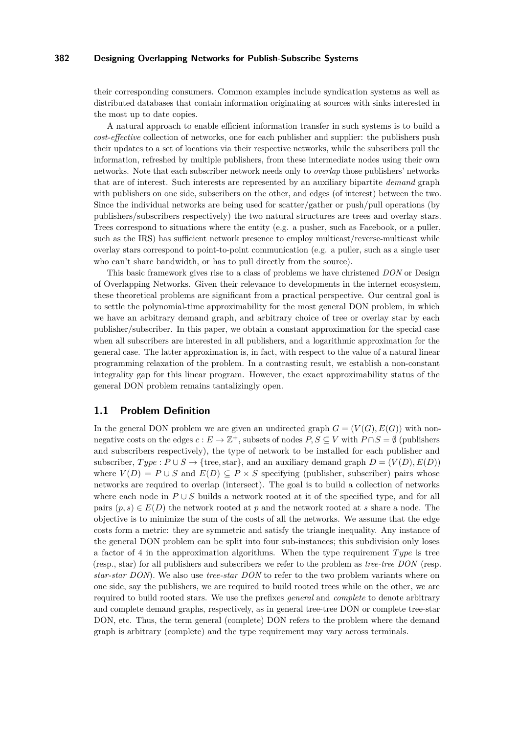their corresponding consumers. Common examples include syndication systems as well as distributed databases that contain information originating at sources with sinks interested in the most up to date copies.

A natural approach to enable efficient information transfer in such systems is to build a *cost-effective* collection of networks, one for each publisher and supplier: the publishers push their updates to a set of locations via their respective networks, while the subscribers pull the information, refreshed by multiple publishers, from these intermediate nodes using their own networks. Note that each subscriber network needs only to *overlap* those publishers' networks that are of interest. Such interests are represented by an auxiliary bipartite *demand* graph with publishers on one side, subscribers on the other, and edges (of interest) between the two. Since the individual networks are being used for scatter/gather or push/pull operations (by publishers/subscribers respectively) the two natural structures are trees and overlay stars. Trees correspond to situations where the entity (e.g. a pusher, such as Facebook, or a puller, such as the IRS) has sufficient network presence to employ multicast/reverse-multicast while overlay stars correspond to point-to-point communication (e.g. a puller, such as a single user who can't share bandwidth, or has to pull directly from the source).

This basic framework gives rise to a class of problems we have christened *DON* or Design of Overlapping Networks. Given their relevance to developments in the internet ecosystem, these theoretical problems are significant from a practical perspective. Our central goal is to settle the polynomial-time approximability for the most general DON problem, in which we have an arbitrary demand graph, and arbitrary choice of tree or overlay star by each publisher/subscriber. In this paper, we obtain a constant approximation for the special case when all subscribers are interested in all publishers, and a logarithmic approximation for the general case. The latter approximation is, in fact, with respect to the value of a natural linear programming relaxation of the problem. In a contrasting result, we establish a non-constant integrality gap for this linear program. However, the exact approximability status of the general DON problem remains tantalizingly open.

# **1.1 Problem Definition**

In the general DON problem we are given an undirected graph  $G = (V(G), E(G))$  with nonnegative costs on the edges  $c: E \to \mathbb{Z}^+$ , subsets of nodes  $P, S \subseteq V$  with  $P \cap S = \emptyset$  (publishers and subscribers respectively), the type of network to be installed for each publisher and subscriber,  $Type: P \cup S \rightarrow \{tree, star\},$  and an auxiliary demand graph  $D = (V(D), E(D))$ where  $V(D) = P \cup S$  and  $E(D) \subseteq P \times S$  specifying (publisher, subscriber) pairs whose networks are required to overlap (intersect). The goal is to build a collection of networks where each node in  $P \cup S$  builds a network rooted at it of the specified type, and for all pairs  $(p, s) \in E(D)$  the network rooted at p and the network rooted at s share a node. The objective is to minimize the sum of the costs of all the networks. We assume that the edge costs form a metric: they are symmetric and satisfy the triangle inequality. Any instance of the general DON problem can be split into four sub-instances; this subdivision only loses a factor of 4 in the approximation algorithms. When the type requirement *T ype* is tree (resp., star) for all publishers and subscribers we refer to the problem as *tree-tree DON* (resp. *star-star DON*). We also use *tree-star DON* to refer to the two problem variants where on one side, say the publishers, we are required to build rooted trees while on the other, we are required to build rooted stars. We use the prefixes *general* and *complete* to denote arbitrary and complete demand graphs, respectively, as in general tree-tree DON or complete tree-star DON, etc. Thus, the term general (complete) DON refers to the problem where the demand graph is arbitrary (complete) and the type requirement may vary across terminals.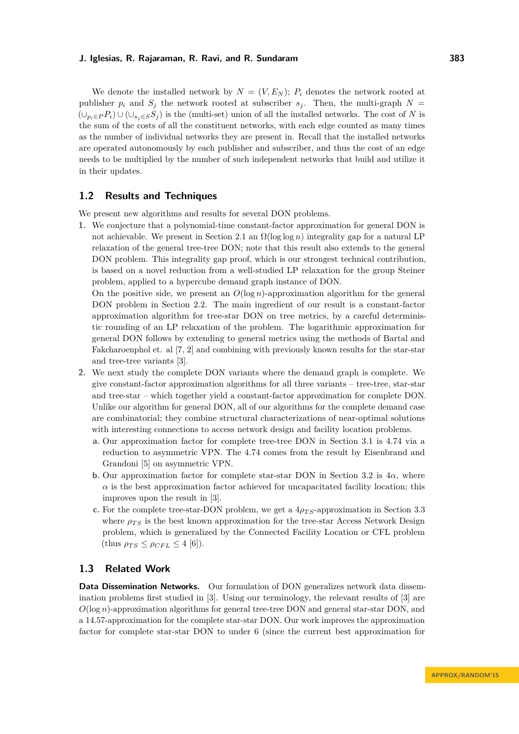We denote the installed network by  $N = (V, E_N)$ ;  $P_i$  denotes the network rooted at publisher  $p_i$  and  $S_j$  the network rooted at subscriber  $s_j$ . Then, the multi-graph  $N =$  $(\bigcup_{p_i \in P} P_i)$  ∪  $(\bigcup_{s_i \in S} S_i)$  is the (multi-set) union of all the installed networks. The cost of *N* is the sum of the costs of all the constituent networks, with each edge counted as many times as the number of individual networks they are present in. Recall that the installed networks are operated autonomously by each publisher and subscriber, and thus the cost of an edge needs to be multiplied by the number of such independent networks that build and utilize it in their updates.

# **1.2 Results and Techniques**

We present new algorithms and results for several DON problems.

**1.** We conjecture that a polynomial-time constant-factor approximation for general DON is not achievable. We present in Section [2.1](#page-4-0) an  $\Omega(\log \log n)$  integrality gap for a natural LP relaxation of the general tree-tree DON; note that this result also extends to the general DON problem. This integrality gap proof, which is our strongest technical contribution, is based on a novel reduction from a well-studied LP relaxation for the group Steiner problem, applied to a hypercube demand graph instance of DON.

On the positive side, we present an *O*(log *n*)-approximation algorithm for the general DON problem in Section [2.2.](#page-6-0) The main ingredient of our result is a constant-factor approximation algorithm for tree-star DON on tree metrics, by a careful deterministic rounding of an LP relaxation of the problem. The logarithmic approximation for general DON follows by extending to general metrics using the methods of Bartal and Fakcharoenphol et. al [\[7,](#page-14-1) [2\]](#page-14-2) and combining with previously known results for the star-star and tree-tree variants [\[3\]](#page-14-3).

- **2.** We next study the complete DON variants where the demand graph is complete. We give constant-factor approximation algorithms for all three variants – tree-tree, star-star and tree-star – which together yield a constant-factor approximation for complete DON. Unlike our algorithm for general DON, all of our algorithms for the complete demand case are combinatorial; they combine structural characterizations of near-optimal solutions with interesting connections to access network design and facility location problems.
	- **a.** Our approximation factor for complete tree-tree DON in Section [3.1](#page-9-0) is 4*.*74 via a reduction to asymmetric VPN. The 4*.*74 comes from the result by Eisenbrand and Grandoni [\[5\]](#page-14-4) on asymmetric VPN.
	- **b.** Our approximation factor for complete star-star DON in Section [3.2](#page-11-0) is  $4\alpha$ , where  $\alpha$  is the best approximation factor achieved for uncapacitated facility location; this improves upon the result in [\[3\]](#page-14-3).
	- **c.** For the complete tree-star-DON problem, we get a  $4\rho_{TS}$ -approximation in Section [3.3](#page-13-0) where  $\rho_{TS}$  is the best known approximation for the tree-star Access Network Design problem, which is generalized by the Connected Facility Location or CFL problem  $(\text{thus } \rho_{TS} \leq \rho_{CFL} \leq 4$  [\[6\]](#page-14-5)).

# **1.3 Related Work**

**Data Dissemination Networks.** Our formulation of DON generalizes network data dissemination problems first studied in [\[3\]](#page-14-3). Using our terminology, the relevant results of [\[3\]](#page-14-3) are *O*(log *n*)-approximation algorithms for general tree-tree DON and general star-star DON, and a 14.57-approximation for the complete star-star DON. Our work improves the approximation factor for complete star-star DON to under 6 (since the current best approximation for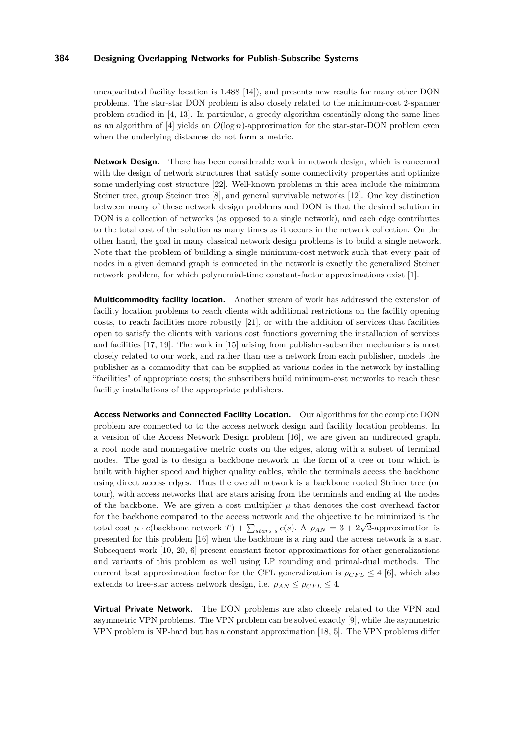uncapacitated facility location is 1.488 [\[14\]](#page-14-6)), and presents new results for many other DON problems. The star-star DON problem is also closely related to the minimum-cost 2-spanner problem studied in [\[4,](#page-14-7) [13\]](#page-14-8). In particular, a greedy algorithm essentially along the same lines as an algorithm of [\[4\]](#page-14-7) yields an *O*(log *n*)-approximation for the star-star-DON problem even when the underlying distances do not form a metric.

**Network Design.** There has been considerable work in network design, which is concerned with the design of network structures that satisfy some connectivity properties and optimize some underlying cost structure [\[22\]](#page-14-9). Well-known problems in this area include the minimum Steiner tree, group Steiner tree [\[8\]](#page-14-10), and general survivable networks [\[12\]](#page-14-11). One key distinction between many of these network design problems and DON is that the desired solution in DON is a collection of networks (as opposed to a single network), and each edge contributes to the total cost of the solution as many times as it occurs in the network collection. On the other hand, the goal in many classical network design problems is to build a single network. Note that the problem of building a single minimum-cost network such that every pair of nodes in a given demand graph is connected in the network is exactly the generalized Steiner network problem, for which polynomial-time constant-factor approximations exist [\[1\]](#page-14-12).

**Multicommodity facility location.** Another stream of work has addressed the extension of facility location problems to reach clients with additional restrictions on the facility opening costs, to reach facilities more robustly [\[21\]](#page-14-13), or with the addition of services that facilities open to satisfy the clients with various cost functions governing the installation of services and facilities [\[17,](#page-14-14) [19\]](#page-14-15). The work in [\[15\]](#page-14-16) arising from publisher-subscriber mechanisms is most closely related to our work, and rather than use a network from each publisher, models the publisher as a commodity that can be supplied at various nodes in the network by installing "facilities" of appropriate costs; the subscribers build minimum-cost networks to reach these facility installations of the appropriate publishers.

**Access Networks and Connected Facility Location.** Our algorithms for the complete DON problem are connected to to the access network design and facility location problems. In a version of the Access Network Design problem [\[16\]](#page-14-17), we are given an undirected graph, a root node and nonnegative metric costs on the edges, along with a subset of terminal nodes. The goal is to design a backbone network in the form of a tree or tour which is built with higher speed and higher quality cables, while the terminals access the backbone using direct access edges. Thus the overall network is a backbone rooted Steiner tree (or tour), with access networks that are stars arising from the terminals and ending at the nodes of the backbone. We are given a cost multiplier  $\mu$  that denotes the cost overhead factor for the backbone compared to the access network and the objective to be minimized is the total cost  $\mu \cdot c$  (backbone network  $T$ ) +  $\sum_{stars \ s} c(s)$ . A  $\rho_{AN} = 3 + 2\sqrt{2}$ -approximation is presented for this problem [\[16\]](#page-14-17) when the backbone is a ring and the access network is a star. Subsequent work [\[10,](#page-14-18) [20,](#page-14-19) [6\]](#page-14-5) present constant-factor approximations for other generalizations and variants of this problem as well using LP rounding and primal-dual methods. The current best approximation factor for the CFL generalization is  $\rho_{CFL} \leq 4$  [\[6\]](#page-14-5), which also extends to tree-star access network design, i.e.  $\rho_{AN} \leq \rho_{CFL} \leq 4$ .

**Virtual Private Network.** The DON problems are also closely related to the VPN and asymmetric VPN problems. The VPN problem can be solved exactly [\[9\]](#page-14-20), while the asymmetric VPN problem is NP-hard but has a constant approximation [\[18,](#page-14-21) [5\]](#page-14-4). The VPN problems differ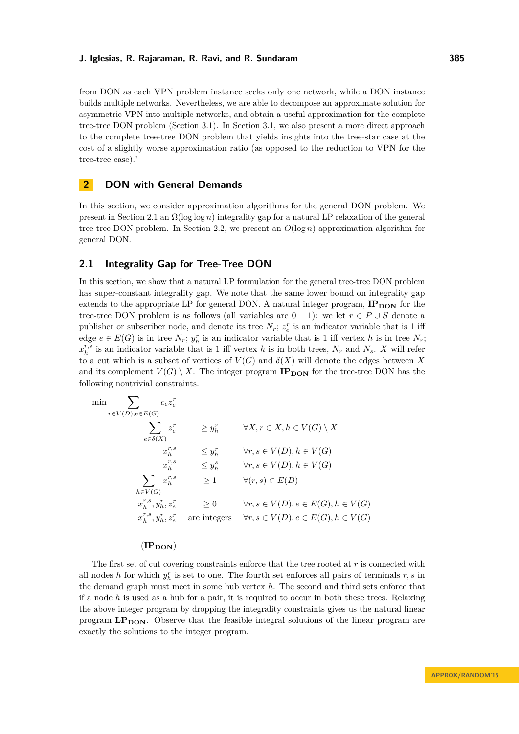from DON as each VPN problem instance seeks only one network, while a DON instance builds multiple networks. Nevertheless, we are able to decompose an approximate solution for asymmetric VPN into multiple networks, and obtain a useful approximation for the complete tree-tree DON problem (Section [3.1\)](#page-9-0). In Section [3.1,](#page-9-0) we also present a more direct approach to the complete tree-tree DON problem that yields insights into the tree-star case at the cost of a slightly worse approximation ratio (as opposed to the reduction to VPN for the tree-tree case)."

# **2 DON with General Demands**

In this section, we consider approximation algorithms for the general DON problem. We present in Section [2.1](#page-4-0) an Ω(log log *n*) integrality gap for a natural LP relaxation of the general tree-tree DON problem. In Section [2.2,](#page-6-0) we present an *O*(log *n*)-approximation algorithm for general DON.

# <span id="page-4-0"></span>**2.1 Integrality Gap for Tree-Tree DON**

In this section, we show that a natural LP formulation for the general tree-tree DON problem has super-constant integrality gap. We note that the same lower bound on integrality gap extends to the appropriate LP for general DON. A natural integer program,  $IP_{\text{DOM}}$  for the tree-tree DON problem is as follows (all variables are  $0 - 1$ ): we let  $r \in P \cup S$  denote a publisher or subscriber node, and denote its tree  $N_r$ ;  $z_e^r$  is an indicator variable that is 1 iff edge  $e \in E(G)$  is in tree  $N_r$ ;  $y_h^r$  is an indicator variable that is 1 iff vertex *h* is in tree  $N_r$ ;  $x_h^{r,s}$  is an indicator variable that is 1 iff vertex *h* is in both trees,  $N_r$  and  $N_s$ . *X* will refer to a cut which is a subset of vertices of  $V(G)$  and  $\delta(X)$  will denote the edges between X and its complement  $V(G) \setminus X$ . The integer program  $IP_{DOM}$  for the tree-tree DON has the following nontrivial constraints.

$$
\min \sum_{r \in V(D), e \in E(G)} c_e z_e^r
$$
\n
$$
\sum_{e \in \delta(X)} z_e^r \geq y_h^r \quad \forall X, r \in X, h \in V(G) \setminus X
$$
\n
$$
x_h^{r,s} \leq y_h^r \quad \forall r, s \in V(D), h \in V(G)
$$
\n
$$
x_h^{r,s} \leq y_h^s \quad \forall r, s \in V(D), h \in V(G)
$$
\n
$$
\sum_{h \in V(G)} x_h^{r,s} \geq 1 \quad \forall (r, s) \in E(D)
$$
\n
$$
x_h^{r,s}, y_h^r, z_e^r \geq 0 \quad \forall r, s \in V(D), e \in E(G), h \in V(G)
$$
\n
$$
x_h^{r,s}, y_h^r, z_e^r \quad \text{are integers} \quad \forall r, s \in V(D), e \in E(G), h \in V(G)
$$

### $(\mathbf{IP}_{\mathbf{DON}})$

The first set of cut covering constraints enforce that the tree rooted at *r* is connected with all nodes *h* for which  $y_h^r$  is set to one. The fourth set enforces all pairs of terminals  $r, s$  in the demand graph must meet in some hub vertex *h*. The second and third sets enforce that if a node *h* is used as a hub for a pair, it is required to occur in both these trees. Relaxing the above integer program by dropping the integrality constraints gives us the natural linear program LP<sub>DON</sub>. Observe that the feasible integral solutions of the linear program are exactly the solutions to the integer program.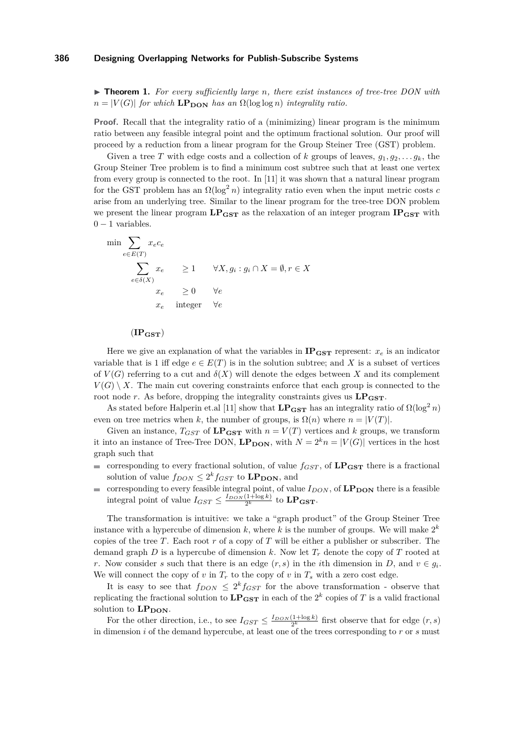I **Theorem 1.** *For every sufficiently large n, there exist instances of tree-tree DON with*  $n = |V(G)|$  *for which*  $\text{LP}_{\text{DOM}}$  *has an*  $\Omega(\log \log n)$  *integrality ratio.* 

**Proof.** Recall that the integrality ratio of a (minimizing) linear program is the minimum ratio between any feasible integral point and the optimum fractional solution. Our proof will proceed by a reduction from a linear program for the Group Steiner Tree (GST) problem.

Given a tree *T* with edge costs and a collection of *k* groups of leaves,  $g_1, g_2, \ldots g_k$ , the Group Steiner Tree problem is to find a minimum cost subtree such that at least one vertex from every group is connected to the root. In [\[11\]](#page-14-22) it was shown that a natural linear program for the GST problem has an  $\Omega(\log^2 n)$  integrality ratio even when the input metric costs *c* arise from an underlying tree. Similar to the linear program for the tree-tree DON problem we present the linear program  $LP_{\text{GST}}$  as the relaxation of an integer program  $IP_{\text{GST}}$  with  $0 - 1$  variables.

$$
\min \sum_{e \in E(T)} x_e c_e
$$
\n
$$
\sum_{e \in \delta(X)} x_e \ge 1 \quad \forall X, g_i : g_i \cap X = \emptyset, r \in X
$$
\n
$$
x_e \ge 0 \quad \forall e
$$
\n
$$
x_e \text{ integer } \forall e
$$

### $(\mathbf{IP}_{\mathbf{GST}})$

Here we give an explanation of what the variables in  $IP_{\text{GST}}$  represent:  $x_e$  is an indicator variable that is 1 iff edge  $e \in E(T)$  is in the solution subtree; and X is a subset of vertices of  $V(G)$  referring to a cut and  $\delta(X)$  will denote the edges between X and its complement  $V(G) \setminus X$ . The main cut covering constraints enforce that each group is connected to the root node *r*. As before, dropping the integrality constraints gives us  $LP_{\text{GST}}$ .

As stated before Halperin et.al [\[11\]](#page-14-22) show that  $LP_{\text{GST}}$  has an integrality ratio of  $\Omega(\log^2 n)$ even on tree metrics when *k*, the number of groups, is  $\Omega(n)$  where  $n = |V(T)|$ .

Given an instance,  $T_{GST}$  of  $LP_{GST}$  with  $n = V(T)$  vertices and *k* groups, we transform it into an instance of Tree-Tree DON,  $\mathbf{LP_{DON}}$ , with  $N = 2^k n = |V(G)|$  vertices in the host graph such that

- corresponding to every fractional solution, of value  $f_{GST}$ , of  $\mathbf{LP}_{\mathbf{GST}}$  there is a fractional  $\blacksquare$ solution of value  $f_{DON} \leq 2^k f_{GST}$  to  $\text{LP}_{\text{DON}}$ , and
- $\blacksquare$ corresponding to every feasible integral point, of value  $I_{DON}$ , of  $\mathbf{LP}_{\mathbf{DON}}$  there is a feasible integral point of value  $I_{GST} \leq \frac{I_{DOM}(1+\log k)}{2^k}$  to  $\mathbf{LP}_{\mathbf{GST}}$ .

The transformation is intuitive: we take a "graph product" of the Group Steiner Tree instance with a hypercube of dimension  $k$ , where  $k$  is the number of groups. We will make  $2^k$ copies of the tree *T*. Each root *r* of a copy of *T* will be either a publisher or subscriber. The demand graph  $D$  is a hypercube of dimension  $k$ . Now let  $T_r$  denote the copy of  $T$  rooted at *r*. Now consider *s* such that there is an edge  $(r, s)$  in the *i*th dimension in *D*, and  $v \in g_i$ . We will connect the copy of  $v$  in  $T_r$  to the copy of  $v$  in  $T_s$  with a zero cost edge.

It is easy to see that  $f_{DON} \leq 2^k f_{GST}$  for the above transformation - observe that replicating the fractional solution to  $\mathbf{LP}_{\mathbf{GST}}$  in each of the  $2^k$  copies of  $T$  is a valid fractional solution to  $LP<sub>DOM</sub>$ .

For the other direction, i.e., to see  $I_{GST} \leq \frac{I_{DON}(1+\log k)}{2^k}$  first observe that for edge  $(r, s)$ in dimension *i* of the demand hypercube, at least one of the trees corresponding to *r* or *s* must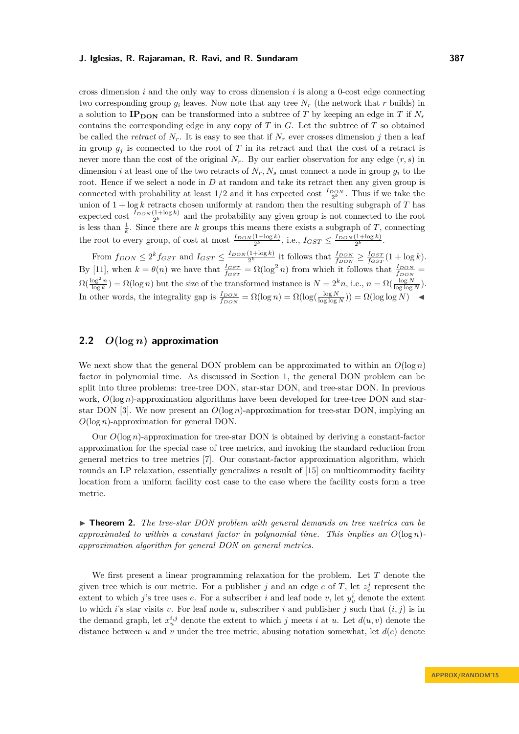cross dimension *i* and the only way to cross dimension *i* is along a 0-cost edge connecting two corresponding group  $g_i$  leaves. Now note that any tree  $N_r$  (the network that  $r$  builds) in a solution to  $IP_{\text{DON}}$  can be transformed into a subtree of *T* by keeping an edge in *T* if  $N_r$ contains the corresponding edge in any copy of *T* in *G*. Let the subtree of *T* so obtained be called the *retract* of  $N_r$ . It is easy to see that if  $N_r$  ever crosses dimension *j* then a leaf in group  $q_i$  is connected to the root of *T* in its retract and that the cost of a retract is never more than the cost of the original  $N_r$ . By our earlier observation for any edge  $(r, s)$  in dimension *i* at least one of the two retracts of  $N_r$ ,  $N_s$  must connect a node in group  $g_i$  to the root. Hence if we select a node in *D* at random and take its retract then any given group is connected with probability at least  $1/2$  and it has expected cost  $\frac{I_{DOM}}{2^k}$ . Thus if we take the union of 1 + log *k* retracts chosen uniformly at random then the resulting subgraph of *T* has expected cost  $\frac{I_{DOM}(1+\log k)}{2^k}$  and the probability any given group is not connected to the root is less than  $\frac{1}{k}$ . Since there are *k* groups this means there exists a subgraph of *T*, connecting the root to every group, of cost at most  $\frac{I_{DON}(1+\log k)}{2^k}$ , i.e.,  $I_{GST} \leq \frac{I_{DON}(1+\log k)}{2^k}$ .

From  $f_{DON} \leq 2^k f_{GST}$  and  $I_{GST} \leq \frac{I_{DON}(1+\log k)}{2^k}$  it follows that  $\frac{I_{DON}}{f_{DON}} \geq \frac{I_{GST}}{f_{GST}}(1+\log k)$ . By [\[11\]](#page-14-22), when  $k = \theta(n)$  we have that  $\frac{I_{GST}}{f_{GST}} = \Omega(\log^2 n)$  from which it follows that  $\frac{I_{DOM}}{f_{DOM}} =$  $\Omega(\frac{\log^2 n}{\log k}) = \Omega(\log n)$  but the size of the transformed instance is  $N = 2^k n$ , i.e.,  $n = \Omega(\frac{\log N}{\log \log N})$ . In other words, the integrality gap is  $\frac{I_{DOM}}{f_{DOM}} = \Omega(\log n) = \Omega(\log(\frac{\log N}{\log \log N})) = \Omega(\log \log N)$ 

# <span id="page-6-0"></span>**2.2** *O***(log** *n***) approximation**

We next show that the general DON problem can be approximated to within an  $O(\log n)$ factor in polynomial time. As discussed in Section [1,](#page-0-0) the general DON problem can be split into three problems: tree-tree DON, star-star DON, and tree-star DON. In previous work,  $O(\log n)$ -approximation algorithms have been developed for tree-tree DON and star-star DON [\[3\]](#page-14-3). We now present an  $O(\log n)$ -approximation for tree-star DON, implying an *O*(log *n*)-approximation for general DON.

Our *O*(log *n*)-approximation for tree-star DON is obtained by deriving a constant-factor approximation for the special case of tree metrics, and invoking the standard reduction from general metrics to tree metrics [\[7\]](#page-14-1). Our constant-factor approximation algorithm, which rounds an LP relaxation, essentially generalizes a result of [\[15\]](#page-14-16) on multicommodity facility location from a uniform facility cost case to the case where the facility costs form a tree metric.

<span id="page-6-1"></span>► **Theorem 2.** *The tree-star DON problem with general demands on tree metrics can be approximated to within a constant factor in polynomial time. This implies an*  $O(\log n)$ *approximation algorithm for general DON on general metrics.*

We first present a linear programming relaxation for the problem. Let *T* denote the given tree which is our metric. For a publisher *j* and an edge *e* of *T*, let  $z_e^j$  represent the extent to which *j*'s tree uses *e*. For a subscriber *i* and leaf node *v*, let  $y_v^i$  denote the extent to which *i*'s star visits *v*. For leaf node *u*, subscriber *i* and publisher *j* such that  $(i, j)$  is in the demand graph, let  $x_i^{i,j}$  denote the extent to which *j* meets *i* at *u*. Let  $d(u, v)$  denote the distance between *u* and *v* under the tree metric; abusing notation somewhat, let *d*(*e*) denote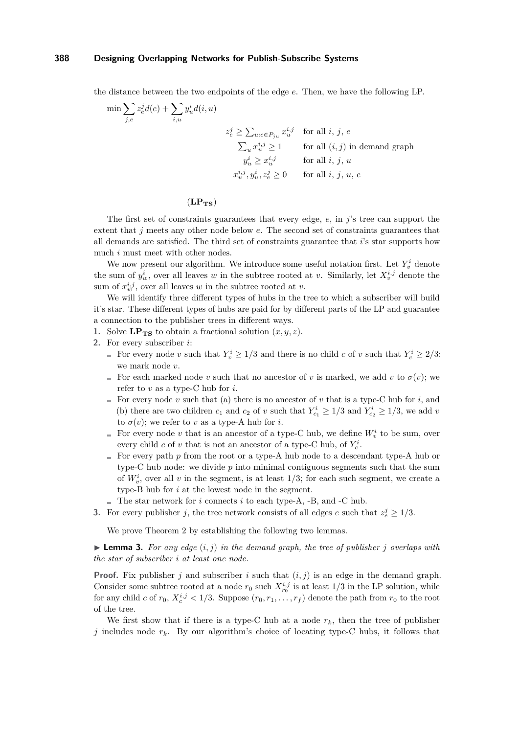the distance between the two endpoints of the edge *e*. Then, we have the following LP.

$$
\begin{aligned}\n\min \sum_{j,e} z_e^j d(e) + \sum_{i,u} y_u^i d(i,u) \\
&\qquad \qquad z_e^j \ge \sum_{u:e \in P_{ju}} x_u^{i,j} \quad \text{for all } i, j, e \\
&\qquad \qquad \sum_u x_u^{i,j} \ge 1 \qquad \text{for all } (i,j) \text{ in demand graph} \\
&\qquad \qquad y_u^i \ge x_u^{i,j} \qquad \text{for all } i, j, u \\
&\qquad \qquad x_u^{i,j}, y_u^i, z_e^j \ge 0 \qquad \text{for all } i, j, u, e\n\end{aligned}
$$

### $(LP_{TS})$

The first set of constraints guarantees that every edge, *e*, in *j*'s tree can support the extent that *j* meets any other node below *e*. The second set of constraints guarantees that all demands are satisfied. The third set of constraints guarantee that *i*'s star supports how much *i* must meet with other nodes.

We now present our algorithm. We introduce some useful notation first. Let  $Y^i_v$  denote the sum of  $y_w^i$ , over all leaves *w* in the subtree rooted at *v*. Similarly, let  $X_v^{i,j}$  denote the sum of  $x_w^{i,j}$ , over all leaves *w* in the subtree rooted at *v*.

We will identify three different types of hubs in the tree to which a subscriber will build it's star. These different types of hubs are paid for by different parts of the LP and guarantee a connection to the publisher trees in different ways.

**1.** Solve  $\mathbf{LP_{TS}}$  to obtain a fractional solution  $(x, y, z)$ .

- **2.** For every subscriber *i*:
	- For every node *v* such that  $Y_v^i \geq 1/3$  and there is no child *c* of *v* such that  $Y_c^i \geq 2/3$ : we mark node *v*.
	- For each marked node *v* such that no ancestor of *v* is marked, we add *v* to  $\sigma(v)$ ; we refer to *v* as a type-C hub for *i*.
	- For every node *v* such that (a) there is no ancestor of *v* that is a type-C hub for *i*, and (b) there are two children  $c_1$  and  $c_2$  of  $v$  such that  $Y_{c_1}^i \geq 1/3$  and  $Y_{c_2}^i \geq 1/3$ , we add  $v$ to  $\sigma(v)$ ; we refer to *v* as a type-A hub for *i*.
	- For every node *v* that is an ancestor of a type-C hub, we define  $W_v^i$  to be sum, over every child *c* of *v* that is not an ancestor of a type-C hub, of  $Y_c^i$ .
	- For every path  $p$  from the root or a type-A hub node to a descendant type-A hub or type-C hub node: we divide  $p$  into minimal contiguous segments such that the sum of  $W_v^i$ , over all *v* in the segment, is at least  $1/3$ ; for each such segment, we create a type-B hub for *i* at the lowest node in the segment.
	- $\blacksquare$  The star network for *i* connects *i* to each type-A, -B, and -C hub.
- **3.** For every publisher *j*, the tree network consists of all edges *e* such that  $z_e^j \geq 1/3$ .

We prove Theorem [2](#page-6-1) by establishing the following two lemmas.

 $\blacktriangleright$  **Lemma 3.** For any edge  $(i, j)$  in the demand graph, the tree of publisher *j* overlaps with *the star of subscriber i at least one node.*

**Proof.** Fix publisher *j* and subscriber *i* such that (*i, j*) is an edge in the demand graph. Consider some subtree rooted at a node  $r_0$  such  $X_{r_0}^{i,j}$  is at least  $1/3$  in the LP solution, while for any child *c* of  $r_0$ ,  $X_c^{i,j}$  < 1/3. Suppose  $(r_0, r_1, \ldots, r_f)$  denote the path from  $r_0$  to the root of the tree.

We first show that if there is a type-C hub at a node  $r_k$ , then the tree of publisher *j* includes node  $r_k$ . By our algorithm's choice of locating type-C hubs, it follows that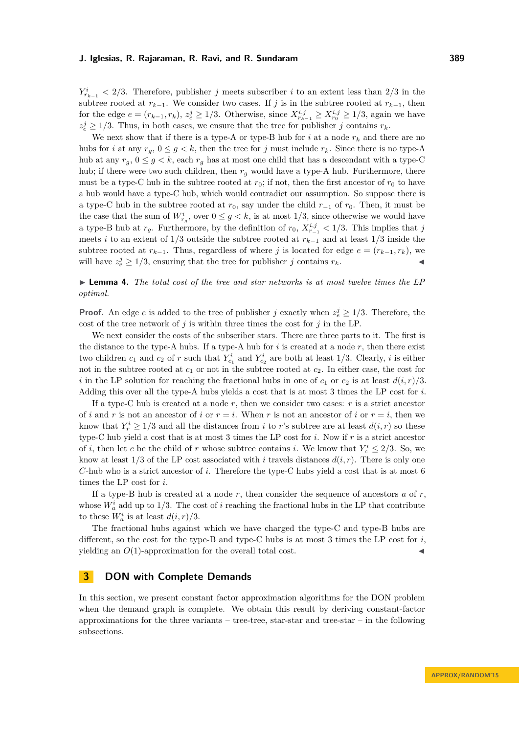$Y_{r_{k-1}}^i$  < 2/3. Therefore, publisher *j* meets subscriber *i* to an extent less than 2/3 in the subtree rooted at  $r_{k-1}$ . We consider two cases. If *j* is in the subtree rooted at  $r_{k-1}$ , then for the edge  $e = (r_{k-1}, r_k)$ ,  $z_e^j \ge 1/3$ . Otherwise, since  $X_{r_{k-1}}^{i,j} \ge X_{r_0}^{i,j} \ge 1/3$ , again we have  $z_e^j \geq 1/3$ . Thus, in both cases, we ensure that the tree for publisher *j* contains  $r_k$ .

We next show that if there is a type-A or type-B hub for  $i$  at a node  $r_k$  and there are no hubs for *i* at any  $r_g$ ,  $0 \le g < k$ , then the tree for *j* must include  $r_k$ . Since there is no type-A hub at any  $r_q$ ,  $0 \leq g \leq k$ , each  $r_q$  has at most one child that has a descendant with a type-C hub; if there were two such children, then  $r_g$  would have a type-A hub. Furthermore, there must be a type-C hub in the subtree rooted at  $r_0$ ; if not, then the first ancestor of  $r_0$  to have a hub would have a type-C hub, which would contradict our assumption. So suppose there is a type-C hub in the subtree rooted at  $r_0$ , say under the child  $r_{-1}$  of  $r_0$ . Then, it must be the case that the sum of  $W_{r_g}^i$ , over  $0 \leq g < k$ , is at most 1/3, since otherwise we would have a type-B hub at  $r_g$ . Furthermore, by the definition of  $r_0$ ,  $X^{i,j}_{r-1} < 1/3$ . This implies that *j* meets *i* to an extent of 1*/*3 outside the subtree rooted at *rk*−<sup>1</sup> and at least 1*/*3 inside the subtree rooted at  $r_{k-1}$ . Thus, regardless of where *j* is located for edge  $e = (r_{k-1}, r_k)$ , we will have  $z_e^j \geq 1/3$ , ensuring that the tree for publisher *j* contains  $r_k$ .

**► Lemma 4.** The total cost of the tree and star networks is at most twelve times the LP *optimal.*

**Proof.** An edge *e* is added to the tree of publisher *j* exactly when  $z_e^j \geq 1/3$ . Therefore, the cost of the tree network of *j* is within three times the cost for *j* in the LP.

We next consider the costs of the subscriber stars. There are three parts to it. The first is the distance to the type-A hubs. If a type-A hub for *i* is created at a node *r*, then there exist two children  $c_1$  and  $c_2$  of  $r$  such that  $Y_{c_1}^i$  and  $Y_{c_2}^i$  are both at least 1/3. Clearly,  $i$  is either not in the subtree rooted at  $c_1$  or not in the subtree rooted at  $c_2$ . In either case, the cost for *i* in the LP solution for reaching the fractional hubs in one of  $c_1$  or  $c_2$  is at least  $d(i, r)/3$ . Adding this over all the type-A hubs yields a cost that is at most 3 times the LP cost for *i*.

If a type-C hub is created at a node *r*, then we consider two cases: *r* is a strict ancestor of *i* and *r* is not an ancestor of *i* or  $r = i$ . When *r* is not an ancestor of *i* or  $r = i$ , then we know that  $Y_r^i \geq 1/3$  and all the distances from *i* to *r*'s subtree are at least  $d(i, r)$  so these type-C hub yield a cost that is at most 3 times the LP cost for *i*. Now if *r* is a strict ancestor of *i*, then let *c* be the child of *r* whose subtree contains *i*. We know that  $Y_c^i \leq 2/3$ . So, we know at least  $1/3$  of the LP cost associated with *i* travels distances  $d(i, r)$ . There is only one *C*-hub who is a strict ancestor of *i*. Therefore the type-C hubs yield a cost that is at most 6 times the LP cost for *i*.

If a type-B hub is created at a node *r*, then consider the sequence of ancestors *a* of *r*, whose  $W_a^i$  add up to 1/3. The cost of *i* reaching the fractional hubs in the LP that contribute to these  $W_a^i$  is at least  $d(i, r)/3$ .

The fractional hubs against which we have charged the type-C and type-B hubs are different, so the cost for the type-B and type-C hubs is at most 3 times the LP cost for *i*, yielding an  $O(1)$ -approximation for the overall total cost.

# **3 DON with Complete Demands**

In this section, we present constant factor approximation algorithms for the DON problem when the demand graph is complete. We obtain this result by deriving constant-factor approximations for the three variants – tree-tree, star-star and tree-star – in the following subsections.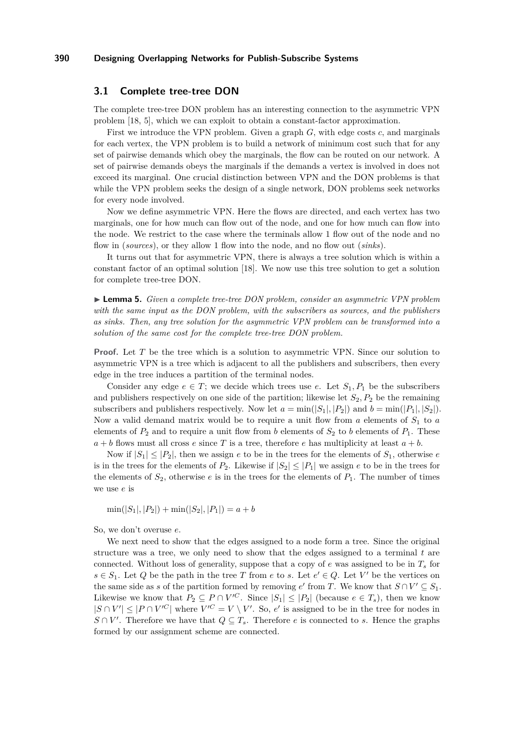# <span id="page-9-0"></span>**3.1 Complete tree-tree DON**

The complete tree-tree DON problem has an interesting connection to the asymmetric VPN problem [\[18,](#page-14-21) [5\]](#page-14-4), which we can exploit to obtain a constant-factor approximation.

First we introduce the VPN problem. Given a graph *G*, with edge costs *c*, and marginals for each vertex, the VPN problem is to build a network of minimum cost such that for any set of pairwise demands which obey the marginals, the flow can be routed on our network. A set of pairwise demands obeys the marginals if the demands a vertex is involved in does not exceed its marginal. One crucial distinction between VPN and the DON problems is that while the VPN problem seeks the design of a single network, DON problems seek networks for every node involved.

Now we define asymmetric VPN. Here the flows are directed, and each vertex has two marginals, one for how much can flow out of the node, and one for how much can flow into the node. We restrict to the case where the terminals allow 1 flow out of the node and no flow in (*sources*), or they allow 1 flow into the node, and no flow out (*sinks*).

It turns out that for asymmetric VPN, there is always a tree solution which is within a constant factor of an optimal solution [\[18\]](#page-14-21). We now use this tree solution to get a solution for complete tree-tree DON.

I **Lemma 5.** *Given a complete tree-tree DON problem, consider an asymmetric VPN problem with the same input as the DON problem, with the subscribers as sources, and the publishers as sinks. Then, any tree solution for the asymmetric VPN problem can be transformed into a solution of the same cost for the complete tree-tree DON problem.*

**Proof.** Let *T* be the tree which is a solution to asymmetric VPN. Since our solution to asymmetric VPN is a tree which is adjacent to all the publishers and subscribers, then every edge in the tree induces a partition of the terminal nodes.

Consider any edge  $e \in T$ ; we decide which trees use *e*. Let  $S_1, P_1$  be the subscribers and publishers respectively on one side of the partition; likewise let  $S_2, P_2$  be the remaining subscribers and publishers respectively. Now let  $a = \min(|S_1|, |P_2|)$  and  $b = \min(|P_1|, |S_2|)$ . Now a valid demand matrix would be to require a unit flow from *a* elements of *S*<sup>1</sup> to *a* elements of  $P_2$  and to require a unit flow from *b* elements of  $S_2$  to *b* elements of  $P_1$ . These  $a + b$  flows must all cross *e* since *T* is a tree, therefore *e* has multiplicity at least  $a + b$ .

Now if  $|S_1| \leq |P_2|$ , then we assign *e* to be in the trees for the elements of  $S_1$ , otherwise *e* is in the trees for the elements of  $P_2$ . Likewise if  $|S_2| \leq |P_1|$  we assign *e* to be in the trees for the elements of  $S_2$ , otherwise *e* is in the trees for the elements of  $P_1$ . The number of times we use *e* is

 $\min(|S_1|, |P_2|) + \min(|S_2|, |P_1|) = a + b$ 

So, we don't overuse *e*.

We next need to show that the edges assigned to a node form a tree. Since the original structure was a tree, we only need to show that the edges assigned to a terminal *t* are connected. Without loss of generality, suppose that a copy of *e* was assigned to be in *T<sup>s</sup>* for  $s \in S_1$ . Let *Q* be the path in the tree *T* from *e* to *s*. Let  $e' \in Q$ . Let *V'* be the vertices on the same side as *s* of the partition formed by removing *e*' from *T*. We know that  $S \cap V' \subseteq S_1$ . Likewise we know that  $P_2 \subseteq P \cap V'^C$ . Since  $|S_1| \leq |P_2|$  (because  $e \in T_s$ ), then we know  $|S \cap V'| \leq |P \cap V'^C|$  where  $V'^C = V \setminus V'$ . So, *e'* is assigned to be in the tree for nodes in *S* ∩ *V*'. Therefore we have that  $Q \subseteq T_s$ . Therefore *e* is connected to *s*. Hence the graphs formed by our assignment scheme are connected.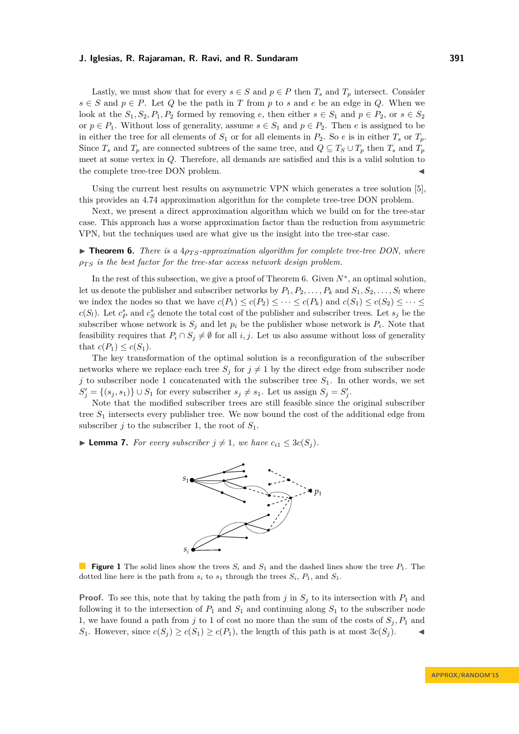Lastly, we must show that for every  $s \in S$  and  $p \in P$  then  $T_s$  and  $T_p$  intersect. Consider *s* ∈ *S* and  $p ∈ P$ . Let *Q* be the path in *T* from *p* to *s* and *e* be an edge in *Q*. When we look at the  $S_1, S_2, P_1, P_2$  formed by removing *e*, then either  $s \in S_1$  and  $p \in P_2$ , or  $s \in S_2$ or  $p \in P_1$ . Without loss of generality, assume  $s \in S_1$  and  $p \in P_2$ . Then *e* is assigned to be in either the tree for all elements of  $S_1$  or for all elements in  $P_2$ . So  $e$  is in either  $T_s$  or  $T_p$ . Since  $T_s$  and  $T_p$  are connected subtrees of the same tree, and  $Q \subseteq T_s \cup T_p$  then  $T_s$  and  $T_p$ meet at some vertex in *Q*. Therefore, all demands are satisfied and this is a valid solution to the complete tree-tree DON problem.

Using the current best results on asymmetric VPN which generates a tree solution [\[5\]](#page-14-4), this provides an 4*.*74 approximation algorithm for the complete tree-tree DON problem.

Next, we present a direct approximation algorithm which we build on for the tree-star case. This approach has a worse approximation factor than the reduction from asymmetric VPN, but the techniques used are what give us the insight into the tree-star case.

<span id="page-10-0"></span> $\triangleright$  **Theorem 6.** *There is a*  $4p_{TS}$ *-approximation algorithm for complete tree-tree DON, where*  $\rho_{TS}$  *is the best factor for the tree-star access network design problem.* 

In the rest of this subsection, we give a proof of Theorem [6.](#page-10-0) Given *N*<sup>∗</sup> , an optimal solution, let us denote the publisher and subscriber networks by  $P_1, P_2, \ldots, P_k$  and  $S_1, S_2, \ldots, S_l$  where we index the nodes so that we have  $c(P_1) \leq c(P_2) \leq \cdots \leq c(P_k)$  and  $c(S_1) \leq c(S_2) \leq \cdots \leq c(S_k)$ *c*(*S*<sub>*l*</sub>). Let  $c_P^*$  and  $c_S^*$  denote the total cost of the publisher and subscriber trees. Let  $s_j$  be the subscriber whose network is  $S_j$  and let  $p_i$  be the publisher whose network is  $P_i$ . Note that feasibility requires that  $P_i \cap S_j \neq \emptyset$  for all *i*, *j*. Let us also assume without loss of generality that  $c(P_1) \leq c(S_1)$ .

The key transformation of the optimal solution is a reconfiguration of the subscriber networks where we replace each tree  $S_j$  for  $j \neq 1$  by the direct edge from subscriber node *j* to subscriber node 1 concatenated with the subscriber tree *S*1. In other words, we set  $S'_{j} = \{(s_j, s_1)\} \cup S_1$  for every subscriber  $s_j \neq s_1$ . Let us assign  $S_j = S'_{j}$ .

Note that the modified subscriber trees are still feasible since the original subscriber tree *S*<sup>1</sup> intersects every publisher tree. We now bound the cost of the additional edge from subscriber *j* to the subscriber 1, the root of  $S_1$ .

<span id="page-10-1"></span>▶ **Lemma 7.** *For every subscriber*  $j \neq 1$ *, we have*  $c_{i1} \leq 3c(S_i)$ *.* 



**Figure 1** The solid lines show the trees  $S_i$  and  $S_1$  and the dashed lines show the tree  $P_1$ . The dotted line here is the path from  $s_i$  to  $s_1$  through the trees  $S_i$ ,  $P_1$ , and  $S_1$ .

**Proof.** To see this, note that by taking the path from  $j$  in  $S_j$  to its intersection with  $P_1$  and following it to the intersection of  $P_1$  and  $S_1$  and continuing along  $S_1$  to the subscriber node 1, we have found a path from *j* to 1 of cost no more than the sum of the costs of  $S_j$ ,  $P_1$  and *S*<sub>1</sub>. However, since  $c(S_j) \geq c(S_1) \geq c(P_1)$ , the length of this path is at most  $3c(S_j)$ .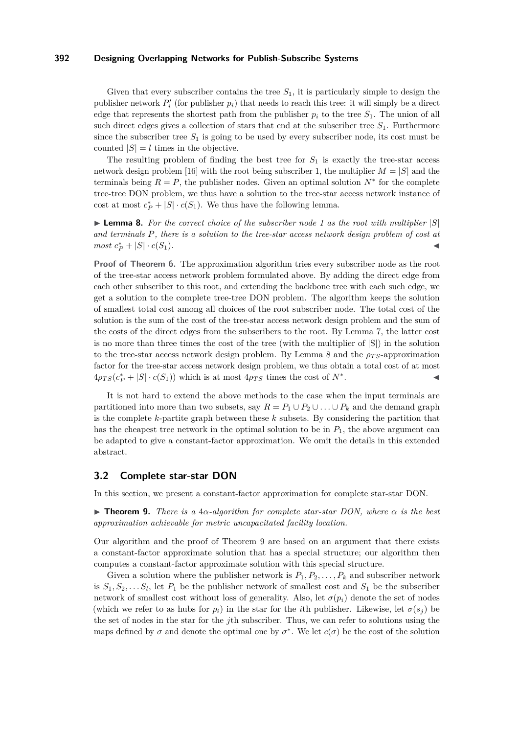Given that every subscriber contains the tree  $S_1$ , it is particularly simple to design the publisher network  $P_i'$  (for publisher  $p_i$ ) that needs to reach this tree: it will simply be a direct edge that represents the shortest path from the publisher  $p_i$  to the tree  $S_1$ . The union of all such direct edges gives a collection of stars that end at the subscriber tree *S*1. Furthermore since the subscriber tree  $S_1$  is going to be used by every subscriber node, its cost must be counted  $|S| = l$  times in the objective.

The resulting problem of finding the best tree for  $S_1$  is exactly the tree-star access network design problem [\[16\]](#page-14-17) with the root being subscriber 1, the multiplier  $M = |S|$  and the terminals being  $R = P$ , the publisher nodes. Given an optimal solution  $N^*$  for the complete tree-tree DON problem, we thus have a solution to the tree-star access network instance of cost at most  $c_P^* + |S| \cdot c(S_1)$ . We thus have the following lemma.

<span id="page-11-1"></span>I **Lemma 8.** *For the correct choice of the subscriber node 1 as the root with multiplier* |*S*| *and terminals P, there is a solution to the tree-star access network design problem of cost at*  $most\ c_P^* + |S| \cdot c(S_1)$ .

**Proof of Theorem [6.](#page-10-0)** The approximation algorithm tries every subscriber node as the root of the tree-star access network problem formulated above. By adding the direct edge from each other subscriber to this root, and extending the backbone tree with each such edge, we get a solution to the complete tree-tree DON problem. The algorithm keeps the solution of smallest total cost among all choices of the root subscriber node. The total cost of the solution is the sum of the cost of the tree-star access network design problem and the sum of the costs of the direct edges from the subscribers to the root. By Lemma [7,](#page-10-1) the latter cost is no more than three times the cost of the tree (with the multiplier of  $|S|$ ) in the solution to the tree-star access network design problem. By Lemma [8](#page-11-1) and the  $\rho_{TS}$ -approximation factor for the tree-star access network design problem, we thus obtain a total cost of at most  $4\rho_{TS}(c_P^* + |S| \cdot c(S_1))$  which is at most  $4\rho_{TS}$  times the cost of  $N^*$ . John J. J. J. J.

It is not hard to extend the above methods to the case when the input terminals are partitioned into more than two subsets, say  $R = P_1 \cup P_2 \cup \ldots \cup P_k$  and the demand graph is the complete *k*-partite graph between these *k* subsets. By considering the partition that has the cheapest tree network in the optimal solution to be in *P*1, the above argument can be adapted to give a constant-factor approximation. We omit the details in this extended abstract.

### <span id="page-11-0"></span>**3.2 Complete star-star DON**

In this section, we present a constant-factor approximation for complete star-star DON.

<span id="page-11-2"></span>I **Theorem 9.** *There is a* 4*α-algorithm for complete star-star DON, where α is the best approximation achievable for metric uncapacitated facility location.*

Our algorithm and the proof of Theorem [9](#page-11-2) are based on an argument that there exists a constant-factor approximate solution that has a special structure; our algorithm then computes a constant-factor approximate solution with this special structure.

Given a solution where the publisher network is  $P_1, P_2, \ldots, P_k$  and subscriber network is  $S_1, S_2, \ldots, S_l$ , let  $P_1$  be the publisher network of smallest cost and  $S_1$  be the subscriber network of smallest cost without loss of generality. Also, let  $\sigma(p_i)$  denote the set of nodes (which we refer to as hubs for  $p_i$ ) in the star for the *i*th publisher. Likewise, let  $\sigma(s_i)$  be the set of nodes in the star for the *j*th subscriber. Thus, we can refer to solutions using the maps defined by  $\sigma$  and denote the optimal one by  $\sigma^*$ . We let  $c(\sigma)$  be the cost of the solution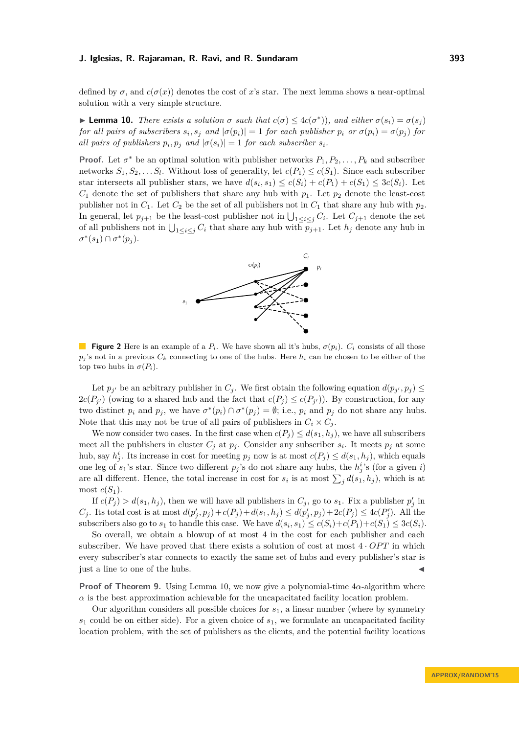defined by  $\sigma$ , and  $c(\sigma(x))$  denotes the cost of x's star. The next lemma shows a near-optimal solution with a very simple structure.

<span id="page-12-0"></span>**Example 10.** *There exists a solution*  $\sigma$  *such that*  $c(\sigma) \leq 4c(\sigma^*)$ , *and either*  $\sigma(s_i) = \sigma(s_j)$ for all pairs of subscribers  $s_i, s_j$  and  $|\sigma(p_i)| = 1$  for each publisher  $p_i$  or  $\sigma(p_i) = \sigma(p_j)$  for *all pairs of publishers*  $p_i, p_j$  *and*  $|\sigma(s_i)| = 1$  *for each subscriber*  $s_i$ *.* 

**Proof.** Let  $\sigma^*$  be an optimal solution with publisher networks  $P_1, P_2, \ldots, P_k$  and subscriber networks  $S_1, S_2, \ldots S_l$ . Without loss of generality, let  $c(P_1) \leq c(S_1)$ . Since each subscriber star intersects all publisher stars, we have  $d(s_i, s_1) \leq c(S_i) + c(P_1) + c(S_1) \leq 3c(S_i)$ . Let  $C_1$  denote the set of publishers that share any hub with  $p_1$ . Let  $p_2$  denote the least-cost publisher not in  $C_1$ . Let  $C_2$  be the set of all publishers not in  $C_1$  that share any hub with  $p_2$ . In general, let  $p_{j+1}$  be the least-cost publisher not in  $\bigcup_{1 \leq i \leq j} C_i$ . Let  $C_{j+1}$  denote the set of all publishers not in  $\bigcup_{1 \leq i \leq j} C_i$  that share any hub with  $p_{j+1}$ . Let  $h_j$  denote any hub in  $\sigma^*(s_1) \cap \sigma^*(p_j).$ 



**Figure 2** Here is an example of a  $P_i$ . We have shown all it's hubs,  $\sigma(p_i)$ .  $C_i$  consists of all those  $p_i$ 's not in a previous  $C_k$  connecting to one of the hubs. Here  $h_i$  can be chosen to be either of the top two hubs in  $\sigma(P_i)$ .

Let  $p_{j'}$  be an arbitrary publisher in  $C_j$ . We first obtain the following equation  $d(p_{j'}, p_j) \leq$  $2c(P_{j'})$  (owing to a shared hub and the fact that  $c(P_j) \leq c(P_{j'})$ ). By construction, for any two distinct  $p_i$  and  $p_j$ , we have  $\sigma^*(p_i) \cap \sigma^*(p_j) = \emptyset$ ; i.e.,  $p_i$  and  $p_j$  do not share any hubs. Note that this may not be true of all pairs of publishers in  $C_i \times C_j$ .

We now consider two cases. In the first case when  $c(P_j) \leq d(s_1, h_j)$ , we have all subscribers meet all the publishers in cluster  $C_j$  at  $p_j$ . Consider any subscriber  $s_i$ . It meets  $p_j$  at some hub, say  $h_j^i$ . Its increase in cost for meeting  $p_j$  now is at most  $c(P_j) \leq d(s_1, h_j)$ , which equals one leg of  $s_1$ 's star. Since two different  $p_j$ 's do not share any hubs, the  $h_j^i$ 's (for a given *i*) are all different. Hence, the total increase in cost for  $s_i$  is at most  $\sum_j d(s_1, h_j)$ , which is at most  $c(S_1)$ .

If  $c(P_j) > d(s_1, h_j)$ , then we will have all publishers in  $C_j$ , go to  $s_1$ . Fix a publisher  $p'_j$  in  $C_j$ . Its total cost is at most  $d(p'_j, p_j) + c(P_j) + d(s_1, h_j) \leq d(p'_j, p_j) + 2c(P_j) \leq 4c(P'_j)$ . All the subscribers also go to  $s_1$  to handle this case. We have  $d(s_i, s_1) \le c(S_i) + c(P_1) + c(S_1) \le 3c(S_i)$ .

So overall, we obtain a blowup of at most 4 in the cost for each publisher and each subscriber. We have proved that there exists a solution of cost at most  $4 \cdot OPT$  in which every subscriber's star connects to exactly the same set of hubs and every publisher's star is just a line to one of the hubs. J

**Proof of Theorem [9.](#page-11-2)** Using Lemma [10,](#page-12-0) we now give a polynomial-time  $4\alpha$ -algorithm where  $\alpha$  is the best approximation achievable for the uncapacitated facility location problem.

Our algorithm considers all possible choices for  $s<sub>1</sub>$ , a linear number (where by symmetry *s*<sup>1</sup> could be on either side). For a given choice of *s*1, we formulate an uncapacitated facility location problem, with the set of publishers as the clients, and the potential facility locations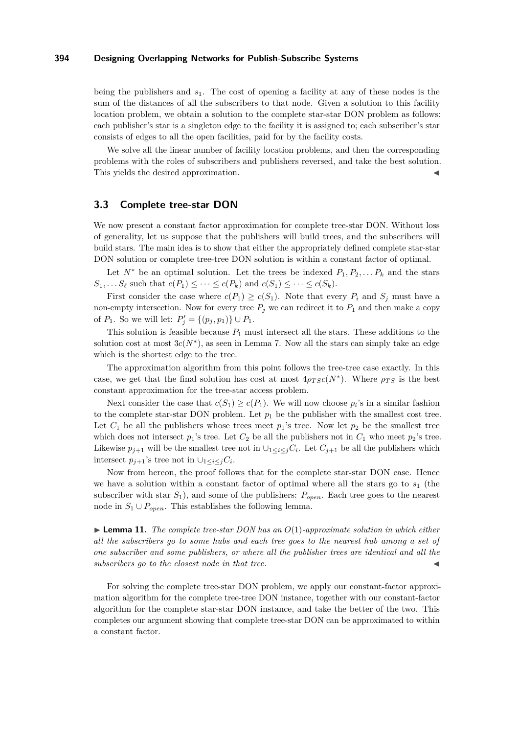being the publishers and *s*1. The cost of opening a facility at any of these nodes is the sum of the distances of all the subscribers to that node. Given a solution to this facility location problem, we obtain a solution to the complete star-star DON problem as follows: each publisher's star is a singleton edge to the facility it is assigned to; each subscriber's star consists of edges to all the open facilities, paid for by the facility costs.

We solve all the linear number of facility location problems, and then the corresponding problems with the roles of subscribers and publishers reversed, and take the best solution. This yields the desired approximation.

### <span id="page-13-0"></span>**3.3 Complete tree-star DON**

We now present a constant factor approximation for complete tree-star DON. Without loss of generality, let us suppose that the publishers will build trees, and the subscribers will build stars. The main idea is to show that either the appropriately defined complete star-star DON solution or complete tree-tree DON solution is within a constant factor of optimal.

Let  $N^*$  be an optimal solution. Let the trees be indexed  $P_1, P_2, \ldots, P_k$  and the stars  $S_1, \ldots S_\ell$  such that  $c(P_1) \leq \cdots \leq c(P_k)$  and  $c(S_1) \leq \cdots \leq c(S_k)$ .

First consider the case where  $c(P_1) \geq c(S_1)$ . Note that every  $P_i$  and  $S_j$  must have a non-empty intersection. Now for every tree  $P_j$  we can redirect it to  $P_1$  and then make a copy of  $P_1$ . So we will let:  $P'_j = \{(p_j, p_1)\} \cup P_1$ .

This solution is feasible because  $P_1$  must intersect all the stars. These additions to the solution cost at most  $3c(N^*)$ , as seen in Lemma [7.](#page-10-1) Now all the stars can simply take an edge which is the shortest edge to the tree.

The approximation algorithm from this point follows the tree-tree case exactly. In this case, we get that the final solution has cost at most  $4\rho_{TSC}(N^*)$ . Where  $\rho_{TS}$  is the best constant approximation for the tree-star access problem.

Next consider the case that  $c(S_1) \geq c(P_1)$ . We will now choose  $p_i$ 's in a similar fashion to the complete star-star DON problem. Let  $p_1$  be the publisher with the smallest cost tree. Let  $C_1$  be all the publishers whose trees meet  $p_1$ 's tree. Now let  $p_2$  be the smallest tree which does not intersect  $p_1$ 's tree. Let  $C_2$  be all the publishers not in  $C_1$  who meet  $p_2$ 's tree. Likewise  $p_{j+1}$  will be the smallest tree not in  $\bigcup_{1 \leq i \leq j} C_i$ . Let  $C_{j+1}$  be all the publishers which intersect  $p_{j+1}$ 's tree not in  $\cup_{1 \leq i \leq j} C_i$ .

Now from hereon, the proof follows that for the complete star-star DON case. Hence we have a solution within a constant factor of optimal where all the stars go to  $s<sub>1</sub>$  (the subscriber with star *S*1), and some of the publishers: *Popen*. Each tree goes to the nearest node in  $S_1 \cup P_{open}$ . This establishes the following lemma.

 $\blacktriangleright$  **Lemma 11.** The complete tree-star DON has an  $O(1)$ -approximate solution in which either *all the subscribers go to some hubs and each tree goes to the nearest hub among a set of one subscriber and some publishers, or where all the publisher trees are identical and all the subscribers go to the closest node in that tree.* 

For solving the complete tree-star DON problem, we apply our constant-factor approximation algorithm for the complete tree-tree DON instance, together with our constant-factor algorithm for the complete star-star DON instance, and take the better of the two. This completes our argument showing that complete tree-star DON can be approximated to within a constant factor.